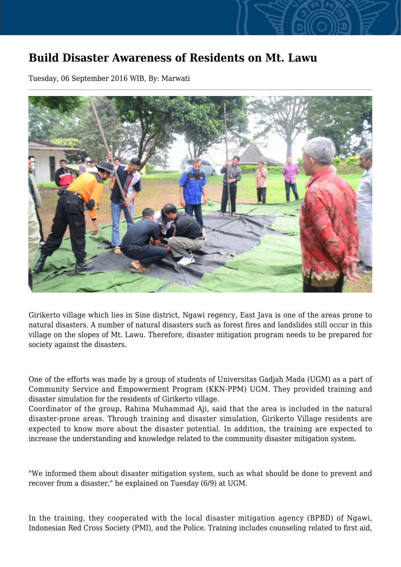## **Build Disaster Awareness of Residents on Mt. Lawu**

Tuesday, 06 September 2016 WIB, By: Marwati



Girikerto village which lies in Sine district, Ngawi regency, East Java is one of the areas prone to natural disasters. A number of natural disasters such as forest fires and landslides still occur in this village on the slopes of Mt. Lawu. Therefore, disaster mitigation program needs to be prepared for society against the disasters.

One of the efforts was made by a group of students of Universitas Gadjah Mada (UGM) as a part of Community Service and Empowerment Program (KKN-PPM) UGM. They provided training and disaster simulation for the residents of Girikerto village.

Coordinator of the group, Rahina Muhammad Aji, said that the area is included in the natural disaster-prone areas. Through training and disaster simulation, Girikerto Village residents are expected to know more about the disaster potential. In addition, the training are expected to increase the understanding and knowledge related to the community disaster mitigation system.

"We informed them about disaster mitigation system, such as what should be done to prevent and recover from a disaster," he explained on Tuesday (6/9) at UGM.

In the training, they cooperated with the local disaster mitigation agency (BPBD) of Ngawi, Indonesian Red Cross Society (PMI), and the Police. Training includes counseling related to first aid,